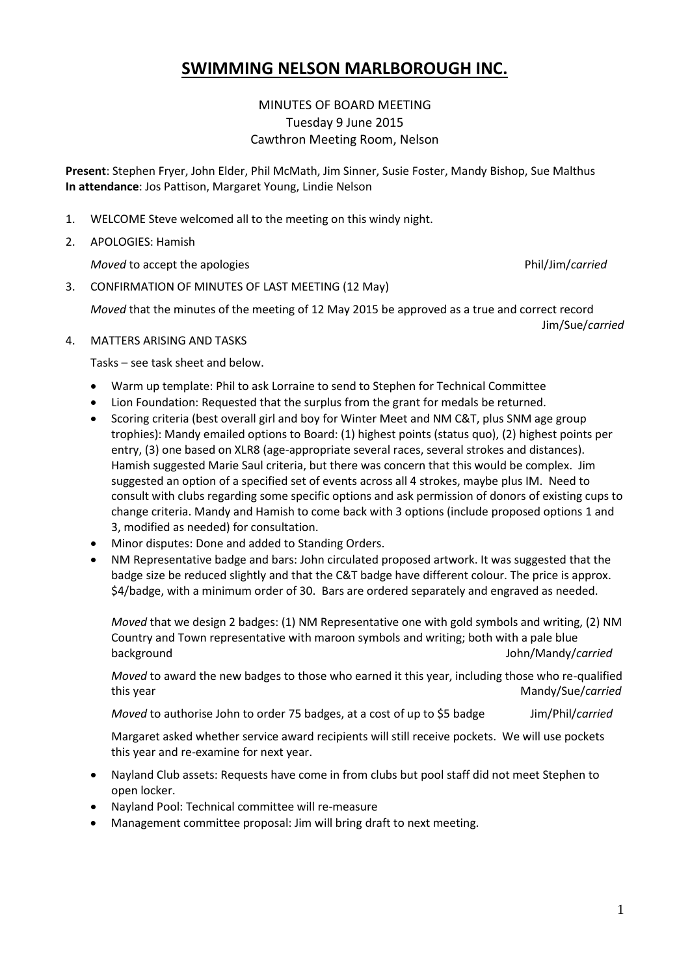# **SWIMMING NELSON MARLBOROUGH INC.**

# MINUTES OF BOARD MEETING Tuesday 9 June 2015 Cawthron Meeting Room, Nelson

**Present**: Stephen Fryer, John Elder, Phil McMath, Jim Sinner, Susie Foster, Mandy Bishop, Sue Malthus **In attendance**: Jos Pattison, Margaret Young, Lindie Nelson

- 1. WELCOME Steve welcomed all to the meeting on this windy night.
- 2. APOLOGIES: Hamish

*Moved* to accept the apologies **Phil/Jim/carried** 

3. CONFIRMATION OF MINUTES OF LAST MEETING (12 May)

*Moved* that the minutes of the meeting of 12 May 2015 be approved as a true and correct record Jim/Sue/*carried*

4. MATTERS ARISING AND TASKS

Tasks – see task sheet and below.

- Warm up template: Phil to ask Lorraine to send to Stephen for Technical Committee
- Lion Foundation: Requested that the surplus from the grant for medals be returned.
- Scoring criteria (best overall girl and boy for Winter Meet and NM C&T, plus SNM age group trophies): Mandy emailed options to Board: (1) highest points (status quo), (2) highest points per entry, (3) one based on XLR8 (age-appropriate several races, several strokes and distances). Hamish suggested Marie Saul criteria, but there was concern that this would be complex. Jim suggested an option of a specified set of events across all 4 strokes, maybe plus IM. Need to consult with clubs regarding some specific options and ask permission of donors of existing cups to change criteria. Mandy and Hamish to come back with 3 options (include proposed options 1 and 3, modified as needed) for consultation.
- Minor disputes: Done and added to Standing Orders.
- NM Representative badge and bars: John circulated proposed artwork. It was suggested that the badge size be reduced slightly and that the C&T badge have different colour. The price is approx. \$4/badge, with a minimum order of 30. Bars are ordered separately and engraved as needed.

*Moved* that we design 2 badges: (1) NM Representative one with gold symbols and writing, (2) NM Country and Town representative with maroon symbols and writing; both with a pale blue background John/Mandy/*carried*

*Moved* to award the new badges to those who earned it this year, including those who re-qualified this year **Mandy/Sue/***carried* Mandy/Sue/*carried* 

*Moved* to authorise John to order 75 badges, at a cost of up to \$5 badge Jim/Phil/*carried* 

Margaret asked whether service award recipients will still receive pockets. We will use pockets this year and re-examine for next year.

- Nayland Club assets: Requests have come in from clubs but pool staff did not meet Stephen to open locker.
- Nayland Pool: Technical committee will re-measure
- Management committee proposal: Jim will bring draft to next meeting.

1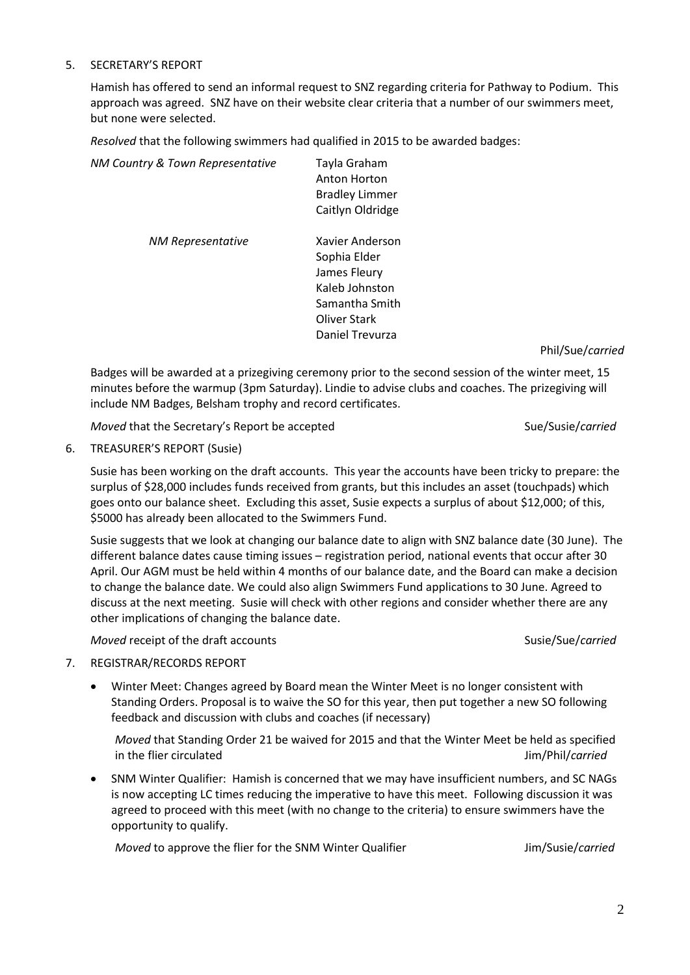## 5. SECRETARY'S REPORT

Hamish has offered to send an informal request to SNZ regarding criteria for Pathway to Podium. This approach was agreed. SNZ have on their website clear criteria that a number of our swimmers meet, but none were selected.

*Resolved* that the following swimmers had qualified in 2015 to be awarded badges:

| NM Country & Town Representative | Tayla Graham<br>Anton Horton<br><b>Bradley Limmer</b><br>Caitlyn Oldridge                           |
|----------------------------------|-----------------------------------------------------------------------------------------------------|
| NM Representative                | Xavier Anderson<br>Sophia Elder<br>James Fleury<br>Kaleb Johnston<br>Samantha Smith<br>Oliver Stark |

Phil/Sue/*carried*

Badges will be awarded at a prizegiving ceremony prior to the second session of the winter meet, 15 minutes before the warmup (3pm Saturday). Lindie to advise clubs and coaches. The prizegiving will include NM Badges, Belsham trophy and record certificates.

Daniel Trevurza

*Moved* that the Secretary's Report be accepted Sue/Susie/carried Sue/Susie/carried

#### 6. TREASURER'S REPORT (Susie)

Susie has been working on the draft accounts. This year the accounts have been tricky to prepare: the surplus of \$28,000 includes funds received from grants, but this includes an asset (touchpads) which goes onto our balance sheet. Excluding this asset, Susie expects a surplus of about \$12,000; of this, \$5000 has already been allocated to the Swimmers Fund.

Susie suggests that we look at changing our balance date to align with SNZ balance date (30 June). The different balance dates cause timing issues – registration period, national events that occur after 30 April. Our AGM must be held within 4 months of our balance date, and the Board can make a decision to change the balance date. We could also align Swimmers Fund applications to 30 June. Agreed to discuss at the next meeting. Susie will check with other regions and consider whether there are any other implications of changing the balance date.

*Moved* receipt of the draft accounts Susie/Sue/*carried* Susie/Sue/*carried* 

- 7. REGISTRAR/RECORDS REPORT
	- Winter Meet: Changes agreed by Board mean the Winter Meet is no longer consistent with Standing Orders. Proposal is to waive the SO for this year, then put together a new SO following feedback and discussion with clubs and coaches (if necessary)

*Moved* that Standing Order 21 be waived for 2015 and that the Winter Meet be held as specified in the flier circulated **Jim/Phil**/*carried* 

 SNM Winter Qualifier: Hamish is concerned that we may have insufficient numbers, and SC NAGs is now accepting LC times reducing the imperative to have this meet. Following discussion it was agreed to proceed with this meet (with no change to the criteria) to ensure swimmers have the opportunity to qualify.

*Moved* to approve the flier for the SNM Winter Qualifier **Julie** Jim/Susie/*carried*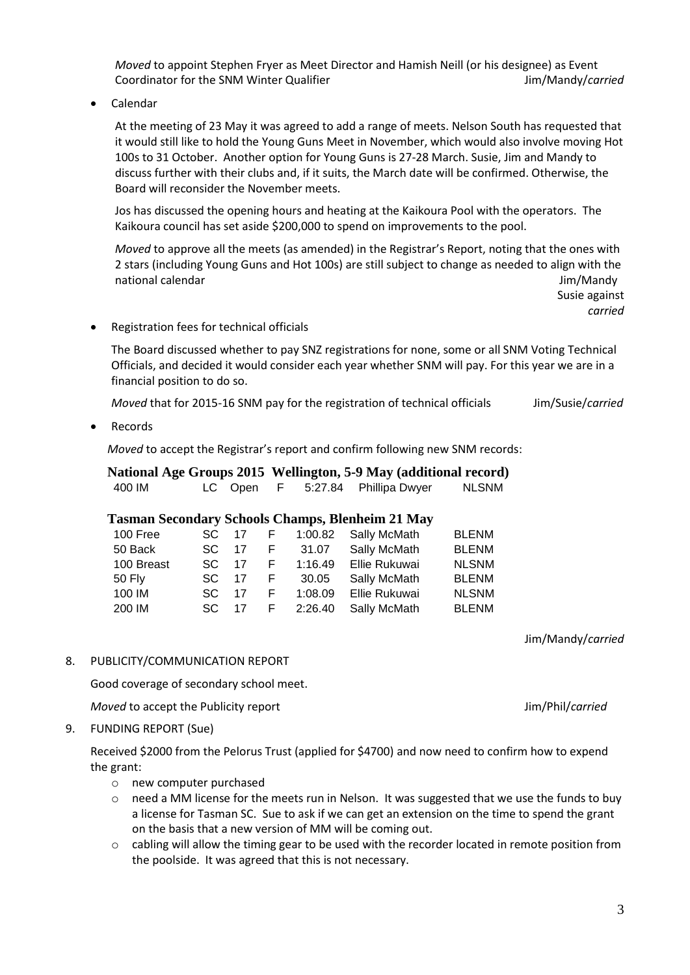*Moved* to appoint Stephen Fryer as Meet Director and Hamish Neill (or his designee) as Event Coordinator for the SNM Winter Qualifier **Jumps** 30 and 2007 11 and 2008 11 and 2008 11 and 2008 11 and 2008 12 and 2008 12 and 2008 12 and 2008 12 and 2008 12 and 2008 12 and 2008 12 and 2008 12 and 2008 12 and 2008 12 an

Calendar

At the meeting of 23 May it was agreed to add a range of meets. Nelson South has requested that it would still like to hold the Young Guns Meet in November, which would also involve moving Hot 100s to 31 October. Another option for Young Guns is 27-28 March. Susie, Jim and Mandy to discuss further with their clubs and, if it suits, the March date will be confirmed. Otherwise, the Board will reconsider the November meets.

Jos has discussed the opening hours and heating at the Kaikoura Pool with the operators. The Kaikoura council has set aside \$200,000 to spend on improvements to the pool.

*Moved* to approve all the meets (as amended) in the Registrar's Report, noting that the ones with 2 stars (including Young Guns and Hot 100s) are still subject to change as needed to align with the national calendar and the state of the state of the state of the state of the state of the state of the state o

> Susie against *carried*

Registration fees for technical officials

The Board discussed whether to pay SNZ registrations for none, some or all SNM Voting Technical Officials, and decided it would consider each year whether SNM will pay. For this year we are in a financial position to do so.

*Moved* that for 2015-16 SNM pay for the registration of technical officials Jim/Susie/*carried*

Records

*Moved* to accept the Registrar's report and confirm following new SNM records:

| National Age Groups 2015 Wellington, 5-9 May (additional record) |         |          |                        |  |              |
|------------------------------------------------------------------|---------|----------|------------------------|--|--------------|
| 400 IM                                                           | LC Open | <b>E</b> | 5:27.84 Phillipa Dwyer |  | <b>NLSNM</b> |

### **Tasman Secondary Schools Champs, Blenheim 21 May**

| 100 Free      | SC. | 17   | F.  | 1:00.82   | Sally McMath  | <b>BLENM</b> |
|---------------|-----|------|-----|-----------|---------------|--------------|
| 50 Back       | SC. | 17   | F.  | 31.07     | Sally McMath  | <b>BLENM</b> |
| 100 Breast    | SC. | - 17 | F.  | 1:16.49   | Ellie Rukuwai | <b>NLSNM</b> |
| <b>50 Fly</b> | SC. | 17   | -F. | 30.05     | Sally McMath  | <b>BLENM</b> |
| 100 IM        | SC. | 17   | F.  | 1:08.09   | Ellie Rukuwai | <b>NLSNM</b> |
| 200 IM        | SC. | 17   |     | F 2:26.40 | Sally McMath  | <b>BLENM</b> |

Jim/Mandy/*carried*

8. PUBLICITY/COMMUNICATION REPORT

Good coverage of secondary school meet.

*Moved* to accept the Publicity report Jim/Phil/*carried* 

9. FUNDING REPORT (Sue)

Received \$2000 from the Pelorus Trust (applied for \$4700) and now need to confirm how to expend the grant:

- o new computer purchased
- $\circ$  need a MM license for the meets run in Nelson. It was suggested that we use the funds to buy a license for Tasman SC. Sue to ask if we can get an extension on the time to spend the grant on the basis that a new version of MM will be coming out.
- $\circ$  cabling will allow the timing gear to be used with the recorder located in remote position from the poolside. It was agreed that this is not necessary.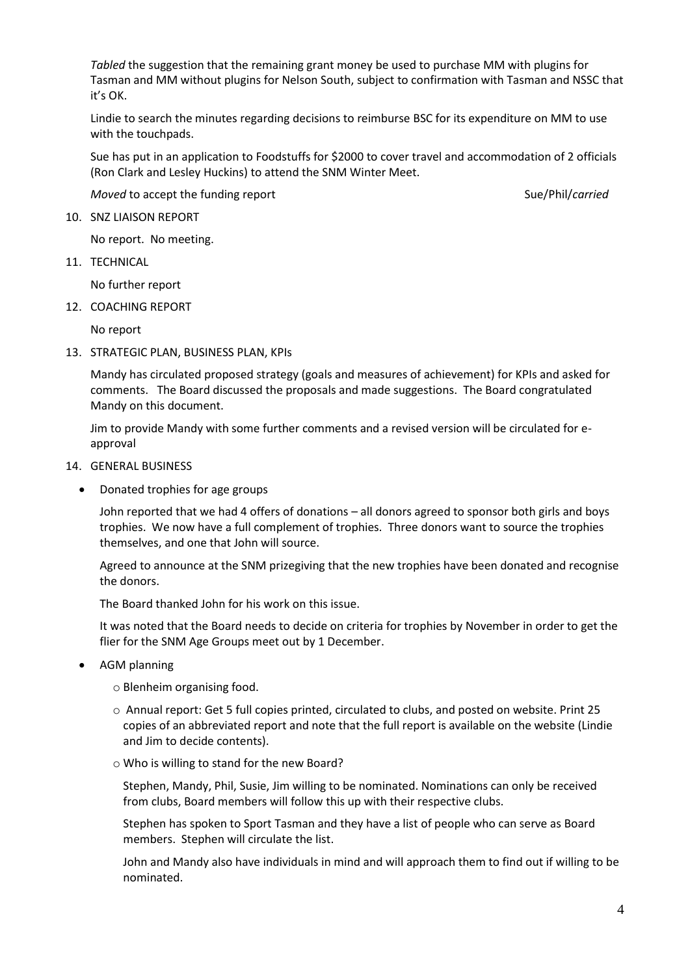*Tabled* the suggestion that the remaining grant money be used to purchase MM with plugins for Tasman and MM without plugins for Nelson South, subject to confirmation with Tasman and NSSC that it's OK.

Lindie to search the minutes regarding decisions to reimburse BSC for its expenditure on MM to use with the touchpads.

Sue has put in an application to Foodstuffs for \$2000 to cover travel and accommodation of 2 officials (Ron Clark and Lesley Huckins) to attend the SNM Winter Meet.

*Moved* to accept the funding report Sueles and Sueles and Sueles Sueles Sueles and Sueles and Sueles and Sueles and Sueles and Sueles and Sueles and Sueles and Sueles and Sueles and Sueles and Sueles and Sueles and Sueles

10. SNZ LIAISON REPORT

No report. No meeting.

11. TECHNICAL

No further report

12. COACHING REPORT

No report

13. STRATEGIC PLAN, BUSINESS PLAN, KPIs

Mandy has circulated proposed strategy (goals and measures of achievement) for KPIs and asked for comments. The Board discussed the proposals and made suggestions. The Board congratulated Mandy on this document.

Jim to provide Mandy with some further comments and a revised version will be circulated for eapproval

- 14. GENERAL BUSINESS
	- Donated trophies for age groups

John reported that we had 4 offers of donations – all donors agreed to sponsor both girls and boys trophies. We now have a full complement of trophies. Three donors want to source the trophies themselves, and one that John will source.

Agreed to announce at the SNM prizegiving that the new trophies have been donated and recognise the donors.

The Board thanked John for his work on this issue.

It was noted that the Board needs to decide on criteria for trophies by November in order to get the flier for the SNM Age Groups meet out by 1 December.

AGM planning

o Blenheim organising food.

- o Annual report: Get 5 full copies printed, circulated to clubs, and posted on website. Print 25 copies of an abbreviated report and note that the full report is available on the website (Lindie and Jim to decide contents).
- o Who is willing to stand for the new Board?

Stephen, Mandy, Phil, Susie, Jim willing to be nominated. Nominations can only be received from clubs, Board members will follow this up with their respective clubs.

Stephen has spoken to Sport Tasman and they have a list of people who can serve as Board members. Stephen will circulate the list.

John and Mandy also have individuals in mind and will approach them to find out if willing to be nominated.